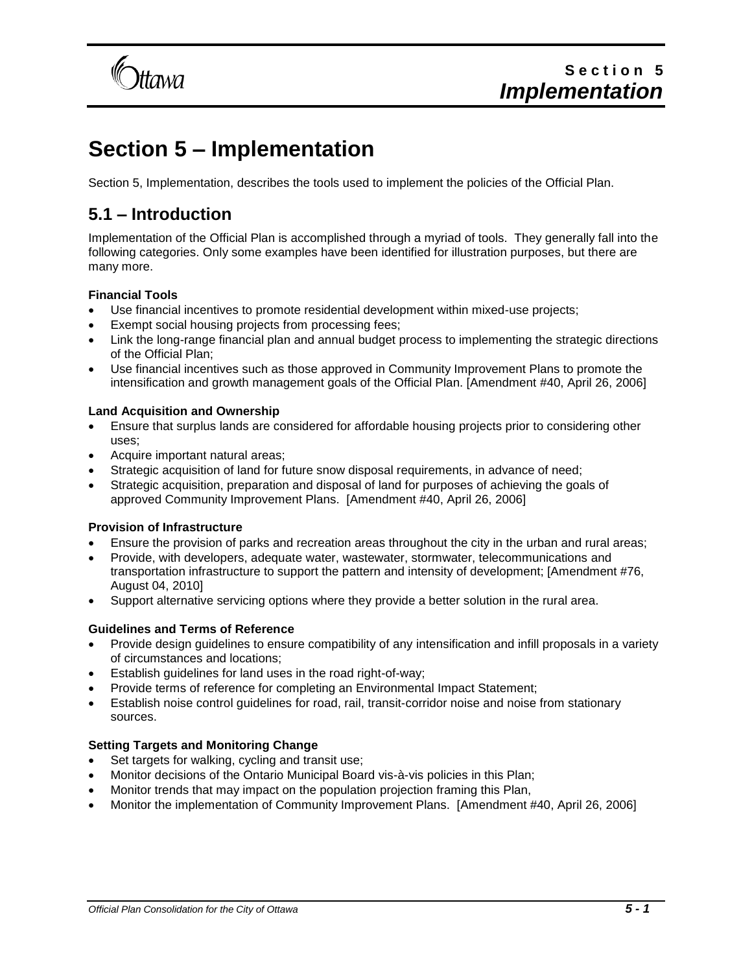

# **Section 5 – Implementation**

Section 5, Implementation, describes the tools used to implement the policies of the Official Plan.

## **5.1 – Introduction**

Implementation of the Official Plan is accomplished through a myriad of tools. They generally fall into the following categories. Only some examples have been identified for illustration purposes, but there are many more.

## **Financial Tools**

- Use financial incentives to promote residential development within mixed-use projects;
- Exempt social housing projects from processing fees;
- Link the long-range financial plan and annual budget process to implementing the strategic directions of the Official Plan;
- Use financial incentives such as those approved in Community Improvement Plans to promote the intensification and growth management goals of the Official Plan. [Amendment #40, April 26, 2006]

## **Land Acquisition and Ownership**

- Ensure that surplus lands are considered for affordable housing projects prior to considering other uses;
- Acquire important natural areas;
- Strategic acquisition of land for future snow disposal requirements, in advance of need;
- Strategic acquisition, preparation and disposal of land for purposes of achieving the goals of approved Community Improvement Plans. [Amendment #40, April 26, 2006]

## **Provision of Infrastructure**

- Ensure the provision of parks and recreation areas throughout the city in the urban and rural areas;
- Provide, with developers, adequate water, wastewater, stormwater, telecommunications and transportation infrastructure to support the pattern and intensity of development; [Amendment #76, August 04, 2010]
- Support alternative servicing options where they provide a better solution in the rural area.

## **Guidelines and Terms of Reference**

- Provide design guidelines to ensure compatibility of any intensification and infill proposals in a variety of circumstances and locations;
- Establish guidelines for land uses in the road right-of-way;
- Provide terms of reference for completing an Environmental Impact Statement;
- Establish noise control guidelines for road, rail, transit-corridor noise and noise from stationary sources.

## **Setting Targets and Monitoring Change**

- Set targets for walking, cycling and transit use;
- Monitor decisions of the Ontario Municipal Board vis-à-vis policies in this Plan;
- Monitor trends that may impact on the population projection framing this Plan,
- Monitor the implementation of Community Improvement Plans. [Amendment #40, April 26, 2006]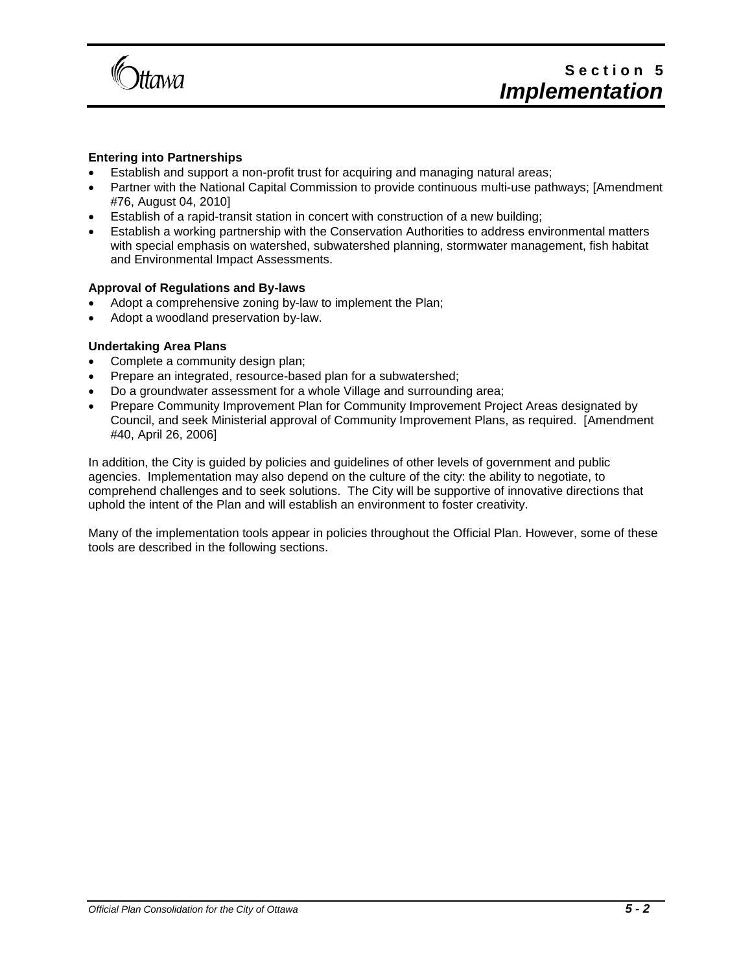

### **Entering into Partnerships**

- Establish and support a non-profit trust for acquiring and managing natural areas;
- Partner with the National Capital Commission to provide continuous multi-use pathways; [Amendment #76, August 04, 2010]
- Establish of a rapid-transit station in concert with construction of a new building;
- Establish a working partnership with the Conservation Authorities to address environmental matters with special emphasis on watershed, subwatershed planning, stormwater management, fish habitat and Environmental Impact Assessments.

#### **Approval of Regulations and By-laws**

- Adopt a comprehensive zoning by-law to implement the Plan;
- Adopt a woodland preservation by-law.

#### **Undertaking Area Plans**

- Complete a community design plan;
- Prepare an integrated, resource-based plan for a subwatershed;
- Do a groundwater assessment for a whole Village and surrounding area;
- Prepare Community Improvement Plan for Community Improvement Project Areas designated by Council, and seek Ministerial approval of Community Improvement Plans, as required. [Amendment #40, April 26, 2006]

In addition, the City is guided by policies and guidelines of other levels of government and public agencies. Implementation may also depend on the culture of the city: the ability to negotiate, to comprehend challenges and to seek solutions. The City will be supportive of innovative directions that uphold the intent of the Plan and will establish an environment to foster creativity.

Many of the implementation tools appear in policies throughout the Official Plan. However, some of these tools are described in the following sections.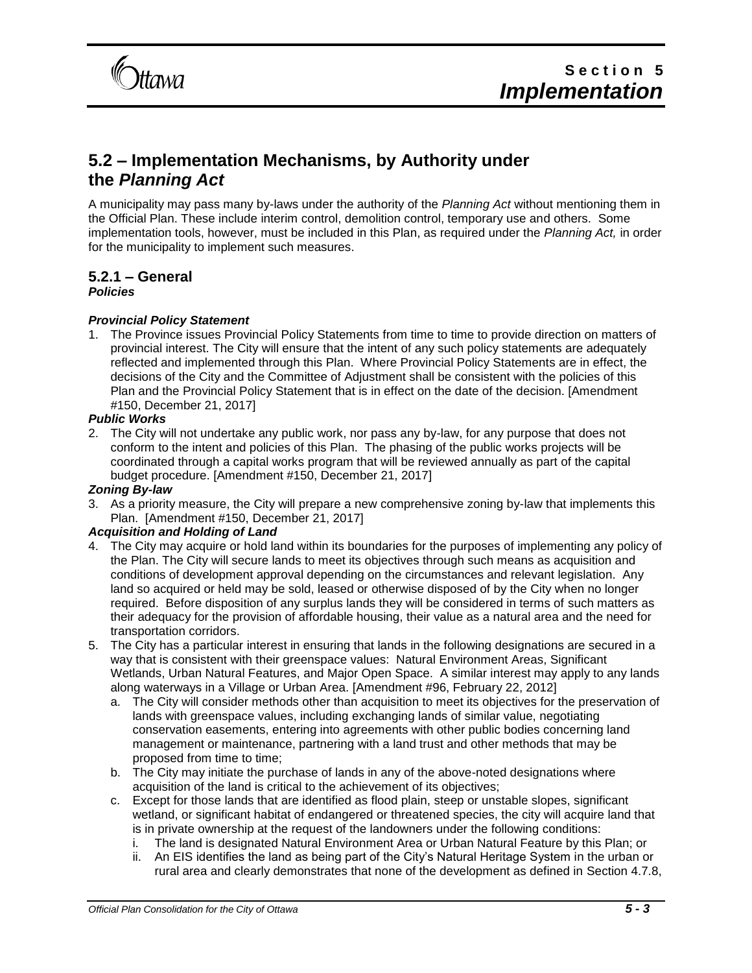

## **5.2 – Implementation Mechanisms, by Authority under the** *Planning Act*

A municipality may pass many by-laws under the authority of the *Planning Act* without mentioning them in the Official Plan. These include interim control, demolition control, temporary use and others. Some implementation tools, however, must be included in this Plan, as required under the *Planning Act,* in order for the municipality to implement such measures.

## **5.2.1 – General**

## *Policies*

## *Provincial Policy Statement*

1. The Province issues Provincial Policy Statements from time to time to provide direction on matters of provincial interest. The City will ensure that the intent of any such policy statements are adequately reflected and implemented through this Plan. Where Provincial Policy Statements are in effect, the decisions of the City and the Committee of Adjustment shall be consistent with the policies of this Plan and the Provincial Policy Statement that is in effect on the date of the decision. [Amendment #150, December 21, 2017]

## *Public Works*

2. The City will not undertake any public work, nor pass any by-law, for any purpose that does not conform to the intent and policies of this Plan. The phasing of the public works projects will be coordinated through a capital works program that will be reviewed annually as part of the capital budget procedure. [Amendment #150, December 21, 2017]

## *Zoning By-law*

3. As a priority measure, the City will prepare a new comprehensive zoning by-law that implements this Plan. [Amendment #150, December 21, 2017]

## *Acquisition and Holding of Land*

- 4. The City may acquire or hold land within its boundaries for the purposes of implementing any policy of the Plan. The City will secure lands to meet its objectives through such means as acquisition and conditions of development approval depending on the circumstances and relevant legislation. Any land so acquired or held may be sold, leased or otherwise disposed of by the City when no longer required. Before disposition of any surplus lands they will be considered in terms of such matters as their adequacy for the provision of affordable housing, their value as a natural area and the need for transportation corridors.
- 5. The City has a particular interest in ensuring that lands in the following designations are secured in a way that is consistent with their greenspace values: Natural Environment Areas, Significant Wetlands, Urban Natural Features, and Major Open Space. A similar interest may apply to any lands along waterways in a Village or Urban Area. [Amendment #96, February 22, 2012]
	- a. The City will consider methods other than acquisition to meet its objectives for the preservation of lands with greenspace values, including exchanging lands of similar value, negotiating conservation easements, entering into agreements with other public bodies concerning land management or maintenance, partnering with a land trust and other methods that may be proposed from time to time;
	- b. The City may initiate the purchase of lands in any of the above-noted designations where acquisition of the land is critical to the achievement of its objectives;
	- c. Except for those lands that are identified as flood plain, steep or unstable slopes, significant wetland, or significant habitat of endangered or threatened species, the city will acquire land that is in private ownership at the request of the landowners under the following conditions:
		- i. The land is designated Natural Environment Area or Urban Natural Feature by this Plan; or
		- ii. An EIS identifies the land as being part of the City's Natural Heritage System in the urban or rural area and clearly demonstrates that none of the development as defined in Section 4.7.8,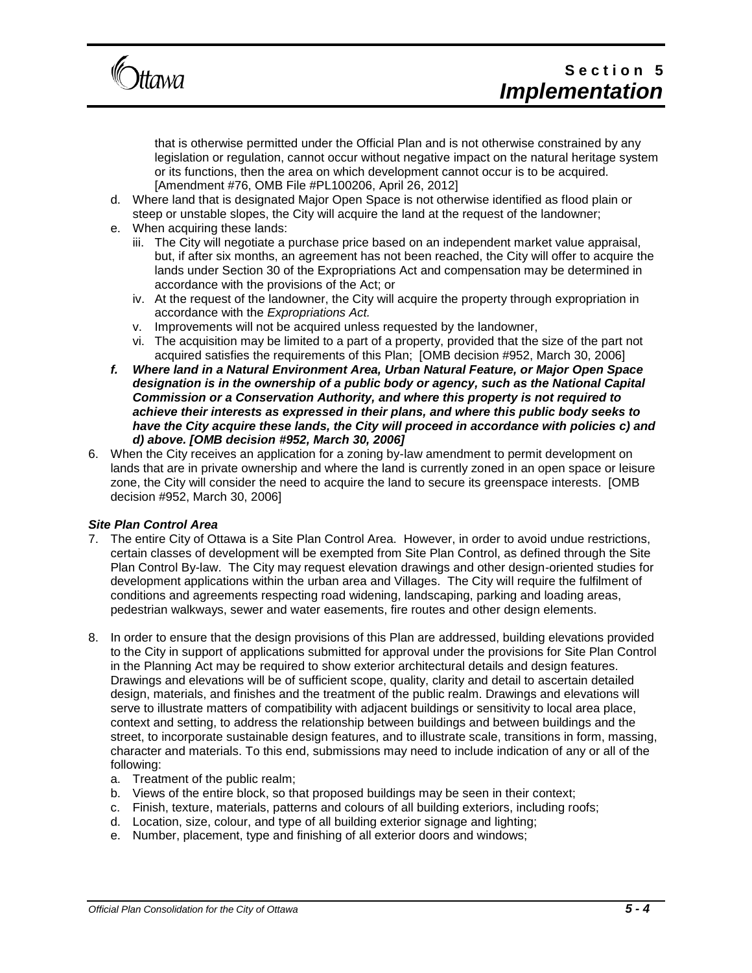

that is otherwise permitted under the Official Plan and is not otherwise constrained by any legislation or regulation, cannot occur without negative impact on the natural heritage system or its functions, then the area on which development cannot occur is to be acquired. [Amendment #76, OMB File #PL100206, April 26, 2012]

- d. Where land that is designated Major Open Space is not otherwise identified as flood plain or steep or unstable slopes, the City will acquire the land at the request of the landowner;
- e. When acquiring these lands:
	- iii. The City will negotiate a purchase price based on an independent market value appraisal, but, if after six months, an agreement has not been reached, the City will offer to acquire the lands under Section 30 of the Expropriations Act and compensation may be determined in accordance with the provisions of the Act; or
	- iv. At the request of the landowner, the City will acquire the property through expropriation in accordance with the *Expropriations Act.*
	- v. Improvements will not be acquired unless requested by the landowner,
	- vi. The acquisition may be limited to a part of a property, provided that the size of the part not acquired satisfies the requirements of this Plan; [OMB decision #952, March 30, 2006]
- *f. Where land in a Natural Environment Area, Urban Natural Feature, or Major Open Space designation is in the ownership of a public body or agency, such as the National Capital Commission or a Conservation Authority, and where this property is not required to achieve their interests as expressed in their plans, and where this public body seeks to have the City acquire these lands, the City will proceed in accordance with policies c) and d) above. [OMB decision #952, March 30, 2006]*
- 6. When the City receives an application for a zoning by-law amendment to permit development on lands that are in private ownership and where the land is currently zoned in an open space or leisure zone, the City will consider the need to acquire the land to secure its greenspace interests. [OMB decision #952, March 30, 2006]

## *Site Plan Control Area*

- 7. The entire City of Ottawa is a Site Plan Control Area. However, in order to avoid undue restrictions, certain classes of development will be exempted from Site Plan Control, as defined through the Site Plan Control By-law. The City may request elevation drawings and other design-oriented studies for development applications within the urban area and Villages. The City will require the fulfilment of conditions and agreements respecting road widening, landscaping, parking and loading areas, pedestrian walkways, sewer and water easements, fire routes and other design elements.
- 8. In order to ensure that the design provisions of this Plan are addressed, building elevations provided to the City in support of applications submitted for approval under the provisions for Site Plan Control in the Planning Act may be required to show exterior architectural details and design features. Drawings and elevations will be of sufficient scope, quality, clarity and detail to ascertain detailed design, materials, and finishes and the treatment of the public realm. Drawings and elevations will serve to illustrate matters of compatibility with adjacent buildings or sensitivity to local area place, context and setting, to address the relationship between buildings and between buildings and the street, to incorporate sustainable design features, and to illustrate scale, transitions in form, massing, character and materials. To this end, submissions may need to include indication of any or all of the following:
	- a. Treatment of the public realm;
	- b. Views of the entire block, so that proposed buildings may be seen in their context;
	- c. Finish, texture, materials, patterns and colours of all building exteriors, including roofs;
	- d. Location, size, colour, and type of all building exterior signage and lighting;
	- e. Number, placement, type and finishing of all exterior doors and windows;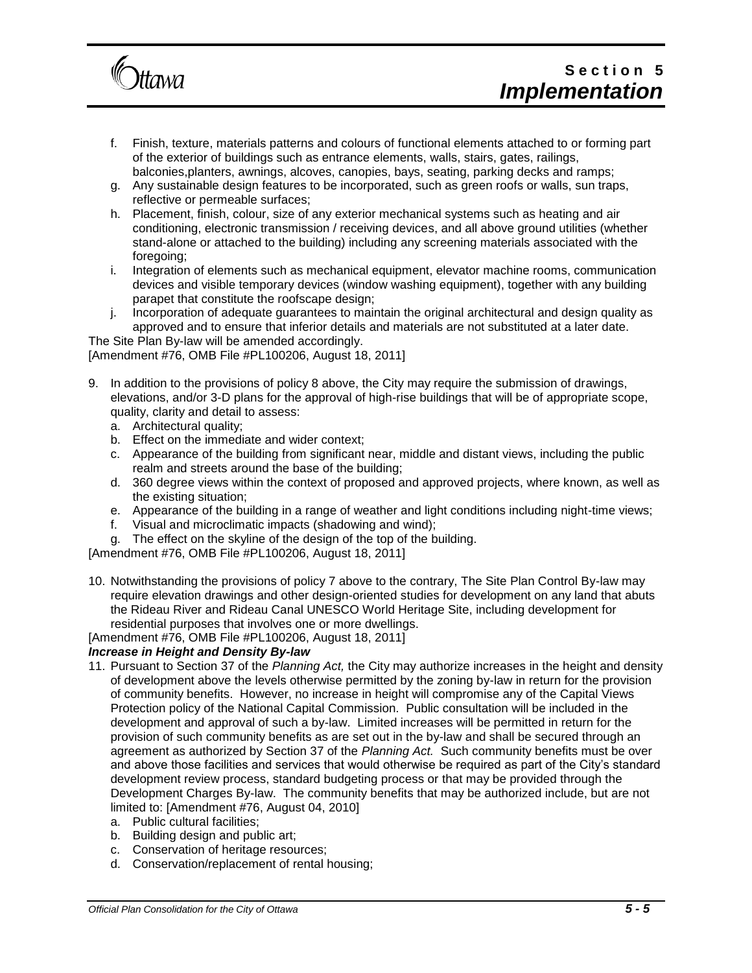

- f. Finish, texture, materials patterns and colours of functional elements attached to or forming part of the exterior of buildings such as entrance elements, walls, stairs, gates, railings, balconies, planters, awnings, alcoves, canopies, bays, seating, parking decks and ramps;
- g. Any sustainable design features to be incorporated, such as green roofs or walls, sun traps, reflective or permeable surfaces;
- h. Placement, finish, colour, size of any exterior mechanical systems such as heating and air conditioning, electronic transmission / receiving devices, and all above ground utilities (whether stand-alone or attached to the building) including any screening materials associated with the foregoing:
- i. Integration of elements such as mechanical equipment, elevator machine rooms, communication devices and visible temporary devices (window washing equipment), together with any building parapet that constitute the roofscape design;
- j. Incorporation of adequate guarantees to maintain the original architectural and design quality as approved and to ensure that inferior details and materials are not substituted at a later date.

The Site Plan By-law will be amended accordingly. [Amendment #76, OMB File #PL100206, August 18, 2011]

- 9. In addition to the provisions of policy 8 above, the City may require the submission of drawings, elevations, and/or 3-D plans for the approval of high-rise buildings that will be of appropriate scope, quality, clarity and detail to assess:
	- a. Architectural quality;
	- b. Effect on the immediate and wider context;
	- c. Appearance of the building from significant near, middle and distant views, including the public realm and streets around the base of the building;
	- d. 360 degree views within the context of proposed and approved projects, where known, as well as the existing situation;
	- e. Appearance of the building in a range of weather and light conditions including night-time views;
	- f. Visual and microclimatic impacts (shadowing and wind);
	- g. The effect on the skyline of the design of the top of the building.

[Amendment #76, OMB File #PL100206, August 18, 2011]

10. Notwithstanding the provisions of policy 7 above to the contrary, The Site Plan Control By-law may require elevation drawings and other design-oriented studies for development on any land that abuts the Rideau River and Rideau Canal UNESCO World Heritage Site, including development for residential purposes that involves one or more dwellings.

[Amendment #76, OMB File #PL100206, August 18, 2011]

## *Increase in Height and Density By-law*

- 11. Pursuant to Section 37 of the *Planning Act,* the City may authorize increases in the height and density of development above the levels otherwise permitted by the zoning by-law in return for the provision of community benefits. However, no increase in height will compromise any of the Capital Views Protection policy of the National Capital Commission. Public consultation will be included in the development and approval of such a by-law. Limited increases will be permitted in return for the provision of such community benefits as are set out in the by-law and shall be secured through an agreement as authorized by Section 37 of the *Planning Act.* Such community benefits must be over and above those facilities and services that would otherwise be required as part of the City's standard development review process, standard budgeting process or that may be provided through the Development Charges By-law. The community benefits that may be authorized include, but are not limited to: [Amendment #76, August 04, 2010]
	- a. Public cultural facilities;
	- b. Building design and public art;
	- c. Conservation of heritage resources;
	- d. Conservation/replacement of rental housing;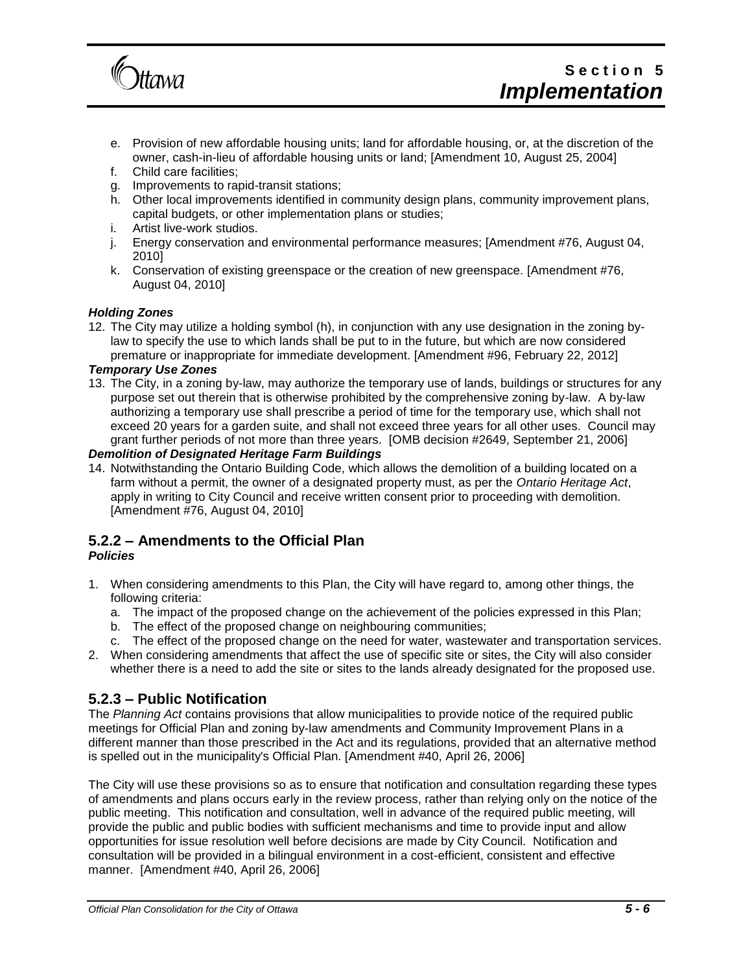

- e. Provision of new affordable housing units; land for affordable housing, or, at the discretion of the owner, cash-in-lieu of affordable housing units or land; [Amendment 10, August 25, 2004]
- f. Child care facilities;
- g. Improvements to rapid-transit stations;
- h. Other local improvements identified in community design plans, community improvement plans, capital budgets, or other implementation plans or studies;
- i. Artist live-work studios.
- j. Energy conservation and environmental performance measures; [Amendment #76, August 04, 2010]
- k. Conservation of existing greenspace or the creation of new greenspace. [Amendment #76, August 04, 2010]

## *Holding Zones*

12. The City may utilize a holding symbol (h), in conjunction with any use designation in the zoning bylaw to specify the use to which lands shall be put to in the future, but which are now considered premature or inappropriate for immediate development. [Amendment #96, February 22, 2012]

### *Temporary Use Zones*

13. The City, in a zoning by-law, may authorize the temporary use of lands, buildings or structures for any purpose set out therein that is otherwise prohibited by the comprehensive zoning by-law. A by-law authorizing a temporary use shall prescribe a period of time for the temporary use, which shall not exceed 20 years for a garden suite, and shall not exceed three years for all other uses. Council may grant further periods of not more than three years. [OMB decision #2649, September 21, 2006]

## *Demolition of Designated Heritage Farm Buildings*

14. Notwithstanding the Ontario Building Code, which allows the demolition of a building located on a farm without a permit, the owner of a designated property must, as per the *Ontario Heritage Act*, apply in writing to City Council and receive written consent prior to proceeding with demolition. [Amendment #76, August 04, 2010]

## **5.2.2 – Amendments to the Official Plan**

## *Policies*

- 1. When considering amendments to this Plan, the City will have regard to, among other things, the following criteria:
	- a. The impact of the proposed change on the achievement of the policies expressed in this Plan;
	- b. The effect of the proposed change on neighbouring communities;
	- c. The effect of the proposed change on the need for water, wastewater and transportation services.
- 2. When considering amendments that affect the use of specific site or sites, the City will also consider whether there is a need to add the site or sites to the lands already designated for the proposed use.

## **5.2.3 – Public Notification**

The *Planning Act* contains provisions that allow municipalities to provide notice of the required public meetings for Official Plan and zoning by-law amendments and Community Improvement Plans in a different manner than those prescribed in the Act and its regulations, provided that an alternative method is spelled out in the municipality's Official Plan. [Amendment #40, April 26, 2006]

The City will use these provisions so as to ensure that notification and consultation regarding these types of amendments and plans occurs early in the review process, rather than relying only on the notice of the public meeting. This notification and consultation, well in advance of the required public meeting, will provide the public and public bodies with sufficient mechanisms and time to provide input and allow opportunities for issue resolution well before decisions are made by City Council. Notification and consultation will be provided in a bilingual environment in a cost-efficient, consistent and effective manner. [Amendment #40, April 26, 2006]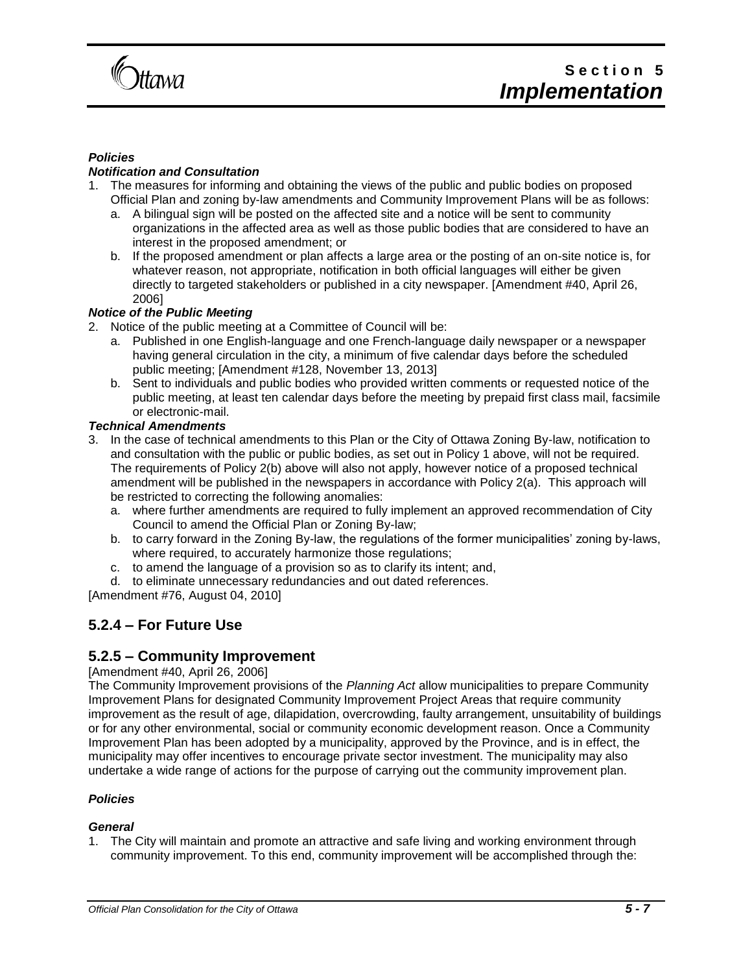

### *Policies*

## *Notification and Consultation*

- 1. The measures for informing and obtaining the views of the public and public bodies on proposed Official Plan and zoning by-law amendments and Community Improvement Plans will be as follows:
	- a. A bilingual sign will be posted on the affected site and a notice will be sent to community organizations in the affected area as well as those public bodies that are considered to have an interest in the proposed amendment; or
	- b. If the proposed amendment or plan affects a large area or the posting of an on-site notice is, for whatever reason, not appropriate, notification in both official languages will either be given directly to targeted stakeholders or published in a city newspaper. [Amendment #40, April 26, 2006]

## *Notice of the Public Meeting*

- 2. Notice of the public meeting at a Committee of Council will be:
	- a. Published in one English-language and one French-language daily newspaper or a newspaper having general circulation in the city, a minimum of five calendar days before the scheduled public meeting; [Amendment #128, November 13, 2013]
	- b. Sent to individuals and public bodies who provided written comments or requested notice of the public meeting, at least ten calendar days before the meeting by prepaid first class mail, facsimile or electronic-mail.

### *Technical Amendments*

- 3. In the case of technical amendments to this Plan or the City of Ottawa Zoning By-law, notification to and consultation with the public or public bodies, as set out in Policy 1 above, will not be required. The requirements of Policy 2(b) above will also not apply, however notice of a proposed technical amendment will be published in the newspapers in accordance with Policy 2(a). This approach will be restricted to correcting the following anomalies:
	- a. where further amendments are required to fully implement an approved recommendation of City Council to amend the Official Plan or Zoning By-law;
	- b. to carry forward in the Zoning By-law, the regulations of the former municipalities' zoning by-laws, where required, to accurately harmonize those regulations;
	- c. to amend the language of a provision so as to clarify its intent; and,
	- d. to eliminate unnecessary redundancies and out dated references.

[Amendment #76, August 04, 2010]

## **5.2.4 – For Future Use**

## **5.2.5 – Community Improvement**

#### [Amendment #40, April 26, 2006]

The Community Improvement provisions of the *Planning Act* allow municipalities to prepare Community Improvement Plans for designated Community Improvement Project Areas that require community improvement as the result of age, dilapidation, overcrowding, faulty arrangement, unsuitability of buildings or for any other environmental, social or community economic development reason. Once a Community Improvement Plan has been adopted by a municipality, approved by the Province, and is in effect, the municipality may offer incentives to encourage private sector investment. The municipality may also undertake a wide range of actions for the purpose of carrying out the community improvement plan.

#### *Policies*

#### *General*

1. The City will maintain and promote an attractive and safe living and working environment through community improvement. To this end, community improvement will be accomplished through the: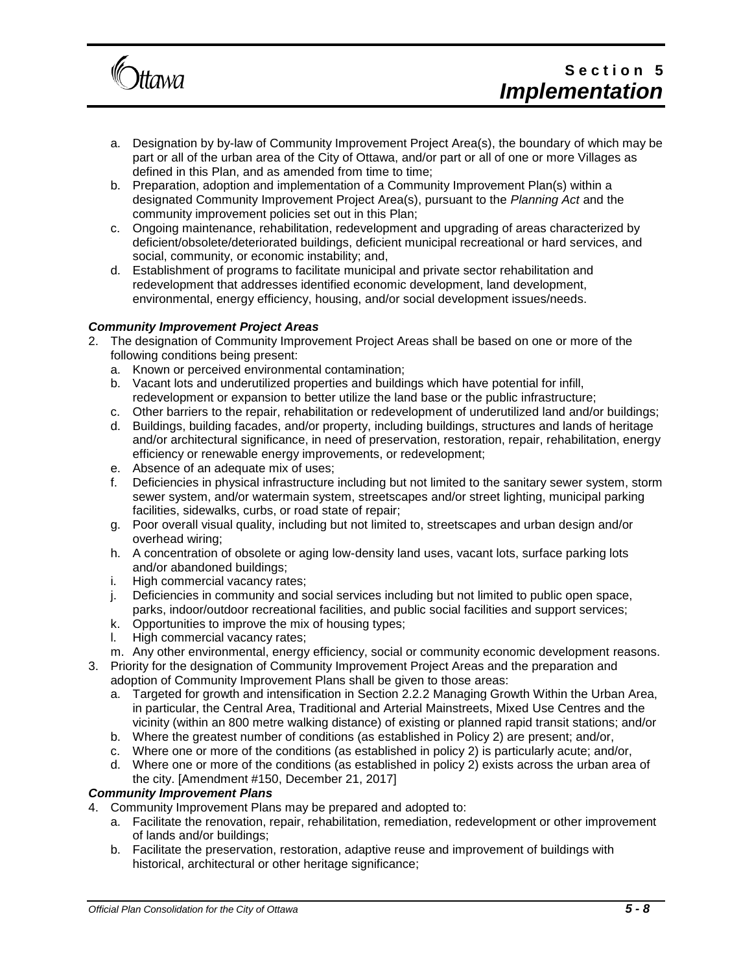

- a. Designation by by-law of Community Improvement Project Area(s), the boundary of which may be part or all of the urban area of the City of Ottawa, and/or part or all of one or more Villages as defined in this Plan, and as amended from time to time;
- b. Preparation, adoption and implementation of a Community Improvement Plan(s) within a designated Community Improvement Project Area(s), pursuant to the *Planning Act* and the community improvement policies set out in this Plan;
- c. Ongoing maintenance, rehabilitation, redevelopment and upgrading of areas characterized by deficient/obsolete/deteriorated buildings, deficient municipal recreational or hard services, and social, community, or economic instability; and,
- d. Establishment of programs to facilitate municipal and private sector rehabilitation and redevelopment that addresses identified economic development, land development, environmental, energy efficiency, housing, and/or social development issues/needs.

## *Community Improvement Project Areas*

- 2. The designation of Community Improvement Project Areas shall be based on one or more of the following conditions being present:
	- a. Known or perceived environmental contamination;
	- b. Vacant lots and underutilized properties and buildings which have potential for infill, redevelopment or expansion to better utilize the land base or the public infrastructure;
	- c. Other barriers to the repair, rehabilitation or redevelopment of underutilized land and/or buildings;
	- d. Buildings, building facades, and/or property, including buildings, structures and lands of heritage and/or architectural significance, in need of preservation, restoration, repair, rehabilitation, energy efficiency or renewable energy improvements, or redevelopment;
	- e. Absence of an adequate mix of uses;
	- f. Deficiencies in physical infrastructure including but not limited to the sanitary sewer system, storm sewer system, and/or watermain system, streetscapes and/or street lighting, municipal parking facilities, sidewalks, curbs, or road state of repair;
	- g. Poor overall visual quality, including but not limited to, streetscapes and urban design and/or overhead wiring;
	- h. A concentration of obsolete or aging low-density land uses, vacant lots, surface parking lots and/or abandoned buildings;
	- i. High commercial vacancy rates;
	- j. Deficiencies in community and social services including but not limited to public open space, parks, indoor/outdoor recreational facilities, and public social facilities and support services;
	- k. Opportunities to improve the mix of housing types;
	- l. High commercial vacancy rates;
	- m. Any other environmental, energy efficiency, social or community economic development reasons.
- 3. Priority for the designation of Community Improvement Project Areas and the preparation and adoption of Community Improvement Plans shall be given to those areas:
	- a. Targeted for growth and intensification in Section 2.2.2 Managing Growth Within the Urban Area, in particular, the Central Area, Traditional and Arterial Mainstreets, Mixed Use Centres and the vicinity (within an 800 metre walking distance) of existing or planned rapid transit stations; and/or
	- b. Where the greatest number of conditions (as established in Policy 2) are present; and/or,
	- c. Where one or more of the conditions (as established in policy 2) is particularly acute; and/or,
	- d. Where one or more of the conditions (as established in policy 2) exists across the urban area of the city. [Amendment #150, December 21, 2017]

## *Community Improvement Plans*

- 4. Community Improvement Plans may be prepared and adopted to:
	- a. Facilitate the renovation, repair, rehabilitation, remediation, redevelopment or other improvement of lands and/or buildings;
	- b. Facilitate the preservation, restoration, adaptive reuse and improvement of buildings with historical, architectural or other heritage significance;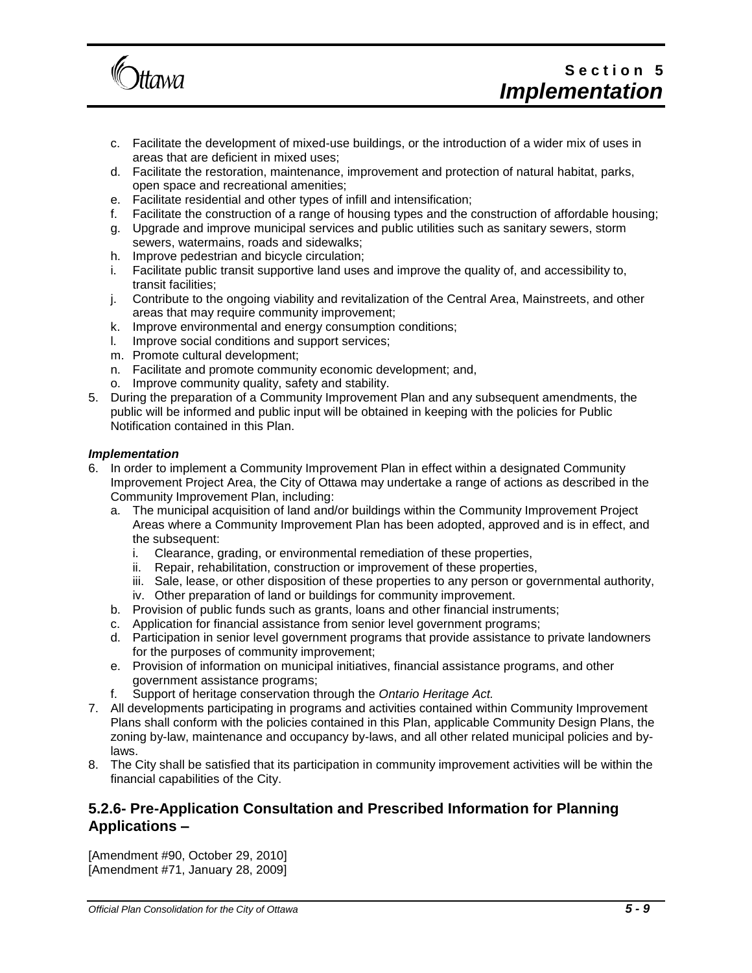

- c. Facilitate the development of mixed-use buildings, or the introduction of a wider mix of uses in areas that are deficient in mixed uses;
- d. Facilitate the restoration, maintenance, improvement and protection of natural habitat, parks, open space and recreational amenities;
- e. Facilitate residential and other types of infill and intensification;
- f. Facilitate the construction of a range of housing types and the construction of affordable housing;
- g. Upgrade and improve municipal services and public utilities such as sanitary sewers, storm sewers, watermains, roads and sidewalks;
- h. Improve pedestrian and bicycle circulation;
- i. Facilitate public transit supportive land uses and improve the quality of, and accessibility to, transit facilities;
- j. Contribute to the ongoing viability and revitalization of the Central Area, Mainstreets, and other areas that may require community improvement;
- k. Improve environmental and energy consumption conditions;
- l. Improve social conditions and support services;
- m. Promote cultural development;
- n. Facilitate and promote community economic development; and,
- o. Improve community quality, safety and stability.
- 5. During the preparation of a Community Improvement Plan and any subsequent amendments, the public will be informed and public input will be obtained in keeping with the policies for Public Notification contained in this Plan.

### *Implementation*

- 6. In order to implement a Community Improvement Plan in effect within a designated Community Improvement Project Area, the City of Ottawa may undertake a range of actions as described in the Community Improvement Plan, including:
	- a. The municipal acquisition of land and/or buildings within the Community Improvement Project Areas where a Community Improvement Plan has been adopted, approved and is in effect, and the subsequent:
		- i. Clearance, grading, or environmental remediation of these properties,
		- ii. Repair, rehabilitation, construction or improvement of these properties,
		- iii. Sale, lease, or other disposition of these properties to any person or governmental authority,
		- iv. Other preparation of land or buildings for community improvement.
	- b. Provision of public funds such as grants, loans and other financial instruments;
	- c. Application for financial assistance from senior level government programs;
	- d. Participation in senior level government programs that provide assistance to private landowners for the purposes of community improvement;
	- e. Provision of information on municipal initiatives, financial assistance programs, and other government assistance programs;
	- f. Support of heritage conservation through the *Ontario Heritage Act.*
- 7. All developments participating in programs and activities contained within Community Improvement Plans shall conform with the policies contained in this Plan, applicable Community Design Plans, the zoning by-law, maintenance and occupancy by-laws, and all other related municipal policies and bylaws.
- 8. The City shall be satisfied that its participation in community improvement activities will be within the financial capabilities of the City.

## **5.2.6- Pre-Application Consultation and Prescribed Information for Planning Applications –**

[Amendment #90, October 29, 2010] [Amendment #71, January 28, 2009]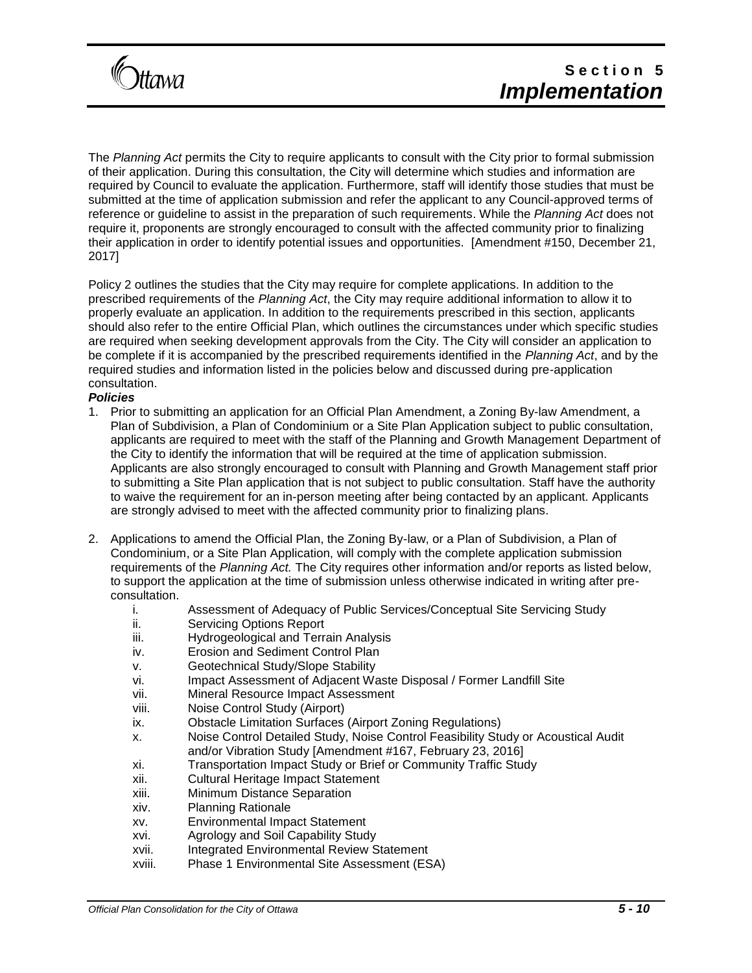

The *Planning Act* permits the City to require applicants to consult with the City prior to formal submission of their application. During this consultation, the City will determine which studies and information are required by Council to evaluate the application. Furthermore, staff will identify those studies that must be submitted at the time of application submission and refer the applicant to any Council-approved terms of reference or guideline to assist in the preparation of such requirements. While the *Planning Act* does not require it, proponents are strongly encouraged to consult with the affected community prior to finalizing their application in order to identify potential issues and opportunities. [Amendment #150, December 21, 2017]

Policy 2 outlines the studies that the City may require for complete applications. In addition to the prescribed requirements of the *Planning Act*, the City may require additional information to allow it to properly evaluate an application. In addition to the requirements prescribed in this section, applicants should also refer to the entire Official Plan, which outlines the circumstances under which specific studies are required when seeking development approvals from the City. The City will consider an application to be complete if it is accompanied by the prescribed requirements identified in the *Planning Act*, and by the required studies and information listed in the policies below and discussed during pre-application consultation.

### *Policies*

- 1. Prior to submitting an application for an Official Plan Amendment, a Zoning By-law Amendment, a Plan of Subdivision, a Plan of Condominium or a Site Plan Application subject to public consultation, applicants are required to meet with the staff of the Planning and Growth Management Department of the City to identify the information that will be required at the time of application submission. Applicants are also strongly encouraged to consult with Planning and Growth Management staff prior to submitting a Site Plan application that is not subject to public consultation. Staff have the authority to waive the requirement for an in-person meeting after being contacted by an applicant. Applicants are strongly advised to meet with the affected community prior to finalizing plans.
- 2. Applications to amend the Official Plan, the Zoning By-law, or a Plan of Subdivision, a Plan of Condominium, or a Site Plan Application, will comply with the complete application submission requirements of the *Planning Act.* The City requires other information and/or reports as listed below, to support the application at the time of submission unless otherwise indicated in writing after preconsultation.
	- i. Assessment of Adequacy of Public Services/Conceptual Site Servicing Study
	- ii. Servicing Options Report
	- iii. Hydrogeological and Terrain Analysis
	- iv. Erosion and Sediment Control Plan
	- v. Geotechnical Study/Slope Stability
	- vi. Impact Assessment of Adjacent Waste Disposal / Former Landfill Site
	- vii. Mineral Resource Impact Assessment
	- viii. Noise Control Study (Airport)
	- ix. Obstacle Limitation Surfaces (Airport Zoning Regulations)
	- x. Noise Control Detailed Study, Noise Control Feasibility Study or Acoustical Audit and/or Vibration Study [Amendment #167, February 23, 2016]
	- xi. Transportation Impact Study or Brief or Community Traffic Study
	- xii. Cultural Heritage Impact Statement
	- xiii. Minimum Distance Separation
	- xiv. Planning Rationale
	- xv. Environmental Impact Statement
	- xvi. Agrology and Soil Capability Study
	- xvii. Integrated Environmental Review Statement
	- xviii. Phase 1 Environmental Site Assessment (ESA)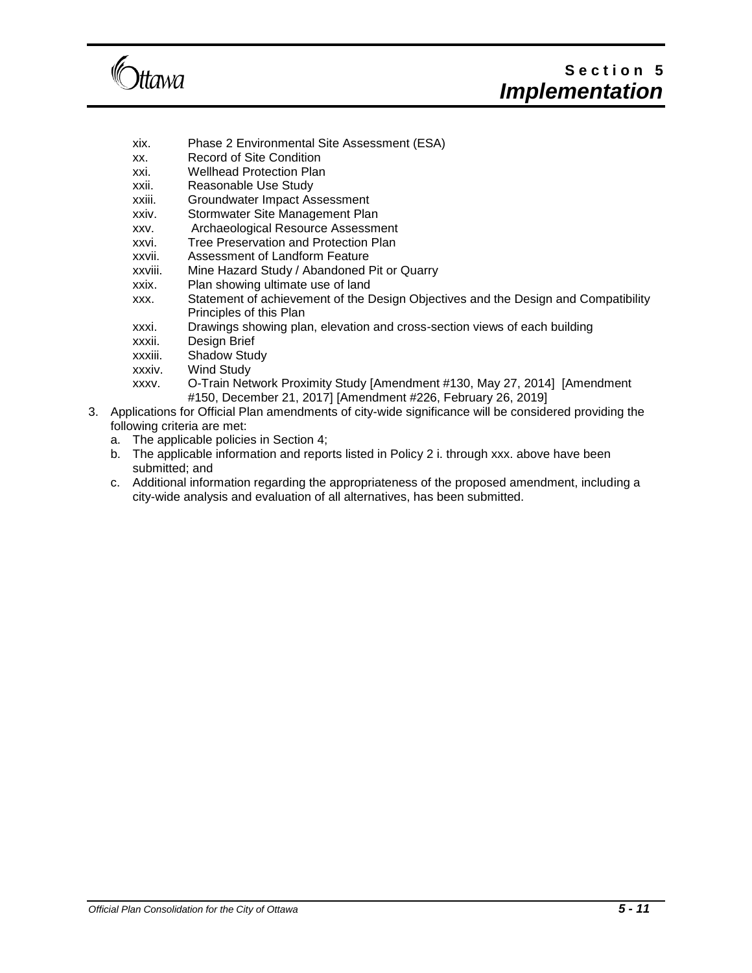

## **S e c t i o n 5** *Implementation*

- xix. Phase 2 Environmental Site Assessment (ESA)
- xx. Record of Site Condition
- xxi. Wellhead Protection Plan
- xxii. Reasonable Use Study
- xxiii. Groundwater Impact Assessment
- xxiv. Stormwater Site Management Plan
- xxv. Archaeological Resource Assessment
- xxvi. Tree Preservation and Protection Plan
- xxvii. Assessment of Landform Feature
- xxviii. Mine Hazard Study / Abandoned Pit or Quarry
- xxix. Plan showing ultimate use of land
- xxx. Statement of achievement of the Design Objectives and the Design and Compatibility Principles of this Plan
- xxxi. Drawings showing plan, elevation and cross-section views of each building
- xxxii. Design Brief
- xxxiii. Shadow Study
- xxxiv. Wind Study
- xxxv. O-Train Network Proximity Study [Amendment #130, May 27, 2014] [Amendment #150, December 21, 2017] [Amendment #226, February 26, 2019]
- 3. Applications for Official Plan amendments of city-wide significance will be considered providing the following criteria are met:
	- a. The applicable policies in Section 4;
	- b. The applicable information and reports listed in Policy 2 i. through xxx. above have been submitted; and
	- c. Additional information regarding the appropriateness of the proposed amendment, including a city-wide analysis and evaluation of all alternatives, has been submitted.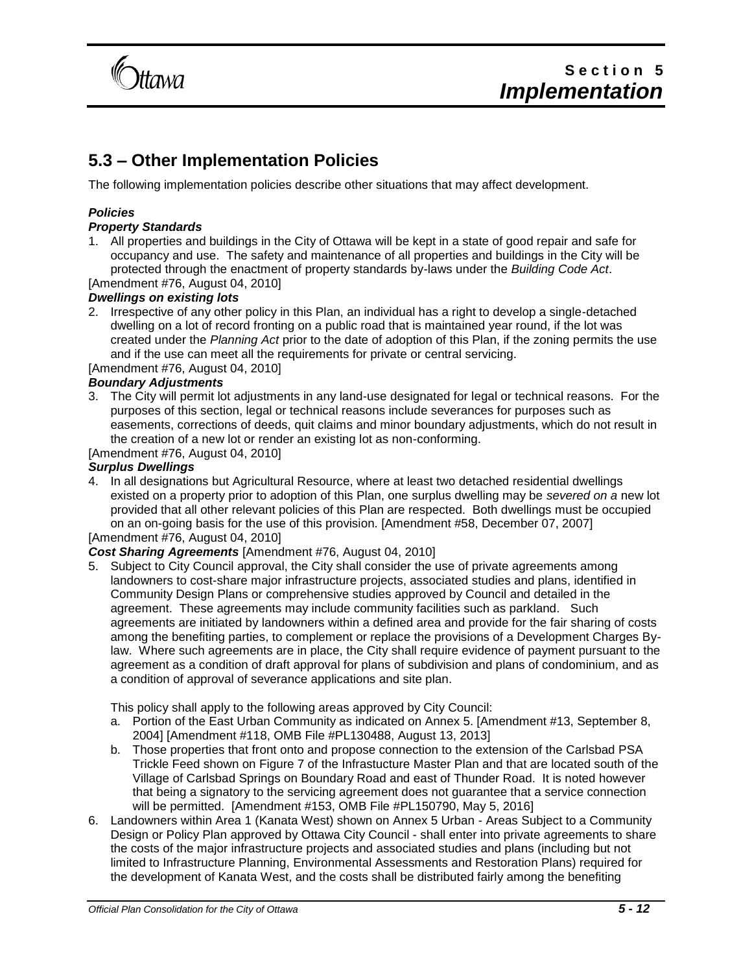

## **5.3 – Other Implementation Policies**

The following implementation policies describe other situations that may affect development.

## *Policies*

## *Property Standards*

1. All properties and buildings in the City of Ottawa will be kept in a state of good repair and safe for occupancy and use. The safety and maintenance of all properties and buildings in the City will be protected through the enactment of property standards by-laws under the *Building Code Act*. [Amendment #76, August 04, 2010]

## *Dwellings on existing lots*

2. Irrespective of any other policy in this Plan, an individual has a right to develop a single-detached dwelling on a lot of record fronting on a public road that is maintained year round, if the lot was created under the *Planning Act* prior to the date of adoption of this Plan, if the zoning permits the use and if the use can meet all the requirements for private or central servicing.

## [Amendment #76, August 04, 2010]

## *Boundary Adjustments*

3. The City will permit lot adjustments in any land-use designated for legal or technical reasons. For the purposes of this section, legal or technical reasons include severances for purposes such as easements, corrections of deeds, quit claims and minor boundary adjustments, which do not result in the creation of a new lot or render an existing lot as non-conforming.

[Amendment #76, August 04, 2010]

## *Surplus Dwellings*

4. In all designations but Agricultural Resource, where at least two detached residential dwellings existed on a property prior to adoption of this Plan, one surplus dwelling may be *severed on a* new lot provided that all other relevant policies of this Plan are respected. Both dwellings must be occupied on an on-going basis for the use of this provision. [Amendment #58, December 07, 2007]

[Amendment #76, August 04, 2010]

## *Cost Sharing Agreements* [Amendment #76, August 04, 2010]

5. Subject to City Council approval, the City shall consider the use of private agreements among landowners to cost-share major infrastructure projects, associated studies and plans, identified in Community Design Plans or comprehensive studies approved by Council and detailed in the agreement. These agreements may include community facilities such as parkland. Such agreements are initiated by landowners within a defined area and provide for the fair sharing of costs among the benefiting parties, to complement or replace the provisions of a Development Charges Bylaw. Where such agreements are in place, the City shall require evidence of payment pursuant to the agreement as a condition of draft approval for plans of subdivision and plans of condominium, and as a condition of approval of severance applications and site plan.

This policy shall apply to the following areas approved by City Council:

- a. Portion of the East Urban Community as indicated on Annex 5. [Amendment #13, September 8, 2004] [Amendment #118, OMB File #PL130488, August 13, 2013]
- b. Those properties that front onto and propose connection to the extension of the Carlsbad PSA Trickle Feed shown on Figure 7 of the Infrastucture Master Plan and that are located south of the Village of Carlsbad Springs on Boundary Road and east of Thunder Road. It is noted however that being a signatory to the servicing agreement does not guarantee that a service connection will be permitted. [Amendment #153, OMB File #PL150790, May 5, 2016]
- 6. Landowners within Area 1 (Kanata West) shown on Annex 5 Urban Areas Subject to a Community Design or Policy Plan approved by Ottawa City Council - shall enter into private agreements to share the costs of the major infrastructure projects and associated studies and plans (including but not limited to Infrastructure Planning, Environmental Assessments and Restoration Plans) required for the development of Kanata West, and the costs shall be distributed fairly among the benefiting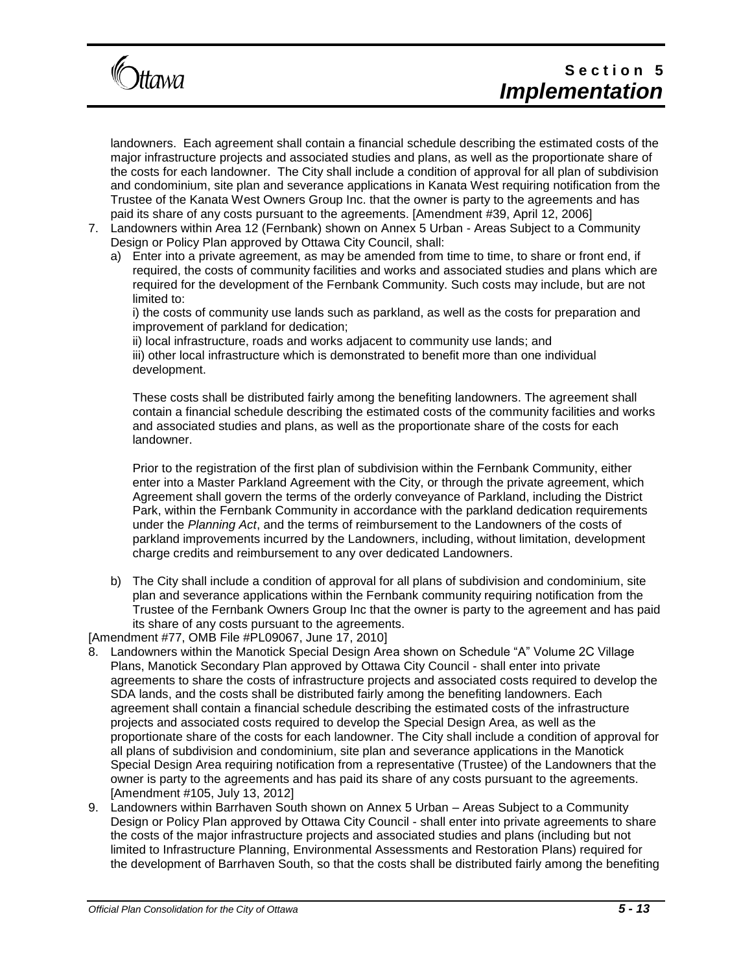

landowners. Each agreement shall contain a financial schedule describing the estimated costs of the major infrastructure projects and associated studies and plans, as well as the proportionate share of the costs for each landowner. The City shall include a condition of approval for all plan of subdivision and condominium, site plan and severance applications in Kanata West requiring notification from the Trustee of the Kanata West Owners Group Inc. that the owner is party to the agreements and has paid its share of any costs pursuant to the agreements. [Amendment #39, April 12, 2006]

- 7. Landowners within Area 12 (Fernbank) shown on Annex 5 Urban Areas Subject to a Community Design or Policy Plan approved by Ottawa City Council, shall:
	- a) Enter into a private agreement, as may be amended from time to time, to share or front end, if required, the costs of community facilities and works and associated studies and plans which are required for the development of the Fernbank Community. Such costs may include, but are not limited to:

i) the costs of community use lands such as parkland, as well as the costs for preparation and improvement of parkland for dedication;

ii) local infrastructure, roads and works adjacent to community use lands; and iii) other local infrastructure which is demonstrated to benefit more than one individual development.

These costs shall be distributed fairly among the benefiting landowners. The agreement shall contain a financial schedule describing the estimated costs of the community facilities and works and associated studies and plans, as well as the proportionate share of the costs for each landowner.

Prior to the registration of the first plan of subdivision within the Fernbank Community, either enter into a Master Parkland Agreement with the City, or through the private agreement, which Agreement shall govern the terms of the orderly conveyance of Parkland, including the District Park, within the Fernbank Community in accordance with the parkland dedication requirements under the *Planning Act*, and the terms of reimbursement to the Landowners of the costs of parkland improvements incurred by the Landowners, including, without limitation, development charge credits and reimbursement to any over dedicated Landowners.

b) The City shall include a condition of approval for all plans of subdivision and condominium, site plan and severance applications within the Fernbank community requiring notification from the Trustee of the Fernbank Owners Group Inc that the owner is party to the agreement and has paid its share of any costs pursuant to the agreements.

[Amendment #77, OMB File #PL09067, June 17, 2010]

- 8. Landowners within the Manotick Special Design Area shown on Schedule "A" Volume 2C Village Plans, Manotick Secondary Plan approved by Ottawa City Council - shall enter into private agreements to share the costs of infrastructure projects and associated costs required to develop the SDA lands, and the costs shall be distributed fairly among the benefiting landowners. Each agreement shall contain a financial schedule describing the estimated costs of the infrastructure projects and associated costs required to develop the Special Design Area, as well as the proportionate share of the costs for each landowner. The City shall include a condition of approval for all plans of subdivision and condominium, site plan and severance applications in the Manotick Special Design Area requiring notification from a representative (Trustee) of the Landowners that the owner is party to the agreements and has paid its share of any costs pursuant to the agreements. [Amendment #105, July 13, 2012]
- 9. Landowners within Barrhaven South shown on Annex 5 Urban Areas Subject to a Community Design or Policy Plan approved by Ottawa City Council - shall enter into private agreements to share the costs of the major infrastructure projects and associated studies and plans (including but not limited to Infrastructure Planning, Environmental Assessments and Restoration Plans) required for the development of Barrhaven South, so that the costs shall be distributed fairly among the benefiting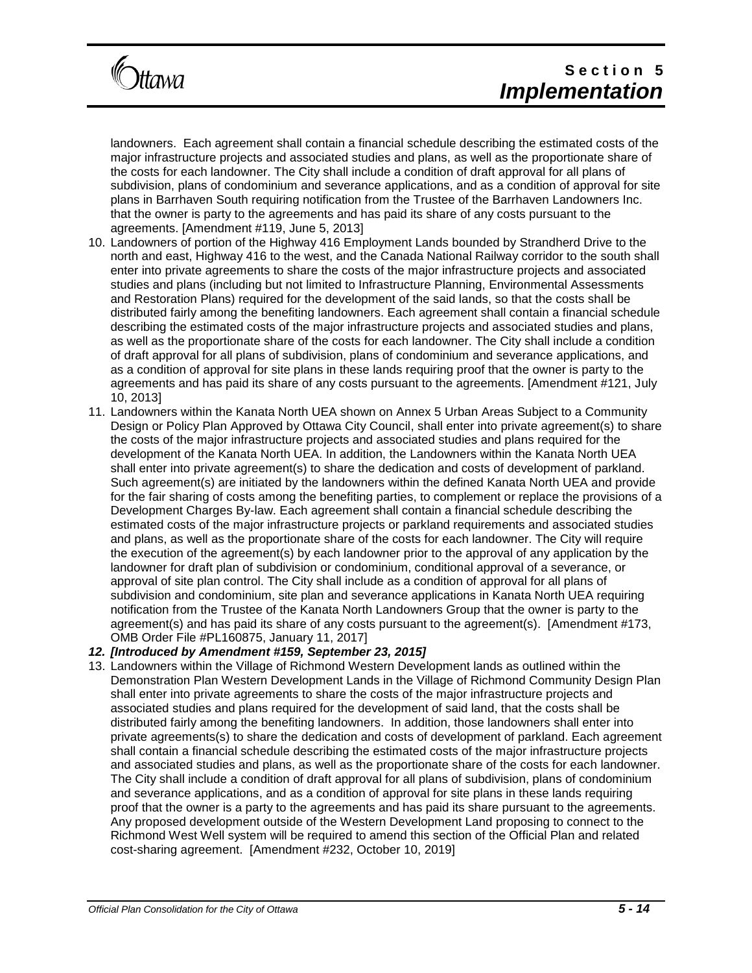

landowners. Each agreement shall contain a financial schedule describing the estimated costs of the major infrastructure projects and associated studies and plans, as well as the proportionate share of the costs for each landowner. The City shall include a condition of draft approval for all plans of subdivision, plans of condominium and severance applications, and as a condition of approval for site plans in Barrhaven South requiring notification from the Trustee of the Barrhaven Landowners Inc. that the owner is party to the agreements and has paid its share of any costs pursuant to the agreements. [Amendment #119, June 5, 2013]

- 10. Landowners of portion of the Highway 416 Employment Lands bounded by Strandherd Drive to the north and east, Highway 416 to the west, and the Canada National Railway corridor to the south shall enter into private agreements to share the costs of the major infrastructure projects and associated studies and plans (including but not limited to Infrastructure Planning, Environmental Assessments and Restoration Plans) required for the development of the said lands, so that the costs shall be distributed fairly among the benefiting landowners. Each agreement shall contain a financial schedule describing the estimated costs of the major infrastructure projects and associated studies and plans, as well as the proportionate share of the costs for each landowner. The City shall include a condition of draft approval for all plans of subdivision, plans of condominium and severance applications, and as a condition of approval for site plans in these lands requiring proof that the owner is party to the agreements and has paid its share of any costs pursuant to the agreements. [Amendment #121, July 10, 2013]
- 11. Landowners within the Kanata North UEA shown on Annex 5 Urban Areas Subject to a Community Design or Policy Plan Approved by Ottawa City Council, shall enter into private agreement(s) to share the costs of the major infrastructure projects and associated studies and plans required for the development of the Kanata North UEA. In addition, the Landowners within the Kanata North UEA shall enter into private agreement(s) to share the dedication and costs of development of parkland. Such agreement(s) are initiated by the landowners within the defined Kanata North UEA and provide for the fair sharing of costs among the benefiting parties, to complement or replace the provisions of a Development Charges By-law. Each agreement shall contain a financial schedule describing the estimated costs of the major infrastructure projects or parkland requirements and associated studies and plans, as well as the proportionate share of the costs for each landowner. The City will require the execution of the agreement(s) by each landowner prior to the approval of any application by the landowner for draft plan of subdivision or condominium, conditional approval of a severance, or approval of site plan control. The City shall include as a condition of approval for all plans of subdivision and condominium, site plan and severance applications in Kanata North UEA requiring notification from the Trustee of the Kanata North Landowners Group that the owner is party to the agreement(s) and has paid its share of any costs pursuant to the agreement(s). [Amendment #173, OMB Order File #PL160875, January 11, 2017]

## *12. [Introduced by Amendment #159, September 23, 2015]*

13. Landowners within the Village of Richmond Western Development lands as outlined within the Demonstration Plan Western Development Lands in the Village of Richmond Community Design Plan shall enter into private agreements to share the costs of the major infrastructure projects and associated studies and plans required for the development of said land, that the costs shall be distributed fairly among the benefiting landowners. In addition, those landowners shall enter into private agreements(s) to share the dedication and costs of development of parkland. Each agreement shall contain a financial schedule describing the estimated costs of the major infrastructure projects and associated studies and plans, as well as the proportionate share of the costs for each landowner. The City shall include a condition of draft approval for all plans of subdivision, plans of condominium and severance applications, and as a condition of approval for site plans in these lands requiring proof that the owner is a party to the agreements and has paid its share pursuant to the agreements. Any proposed development outside of the Western Development Land proposing to connect to the Richmond West Well system will be required to amend this section of the Official Plan and related cost-sharing agreement. [Amendment #232, October 10, 2019]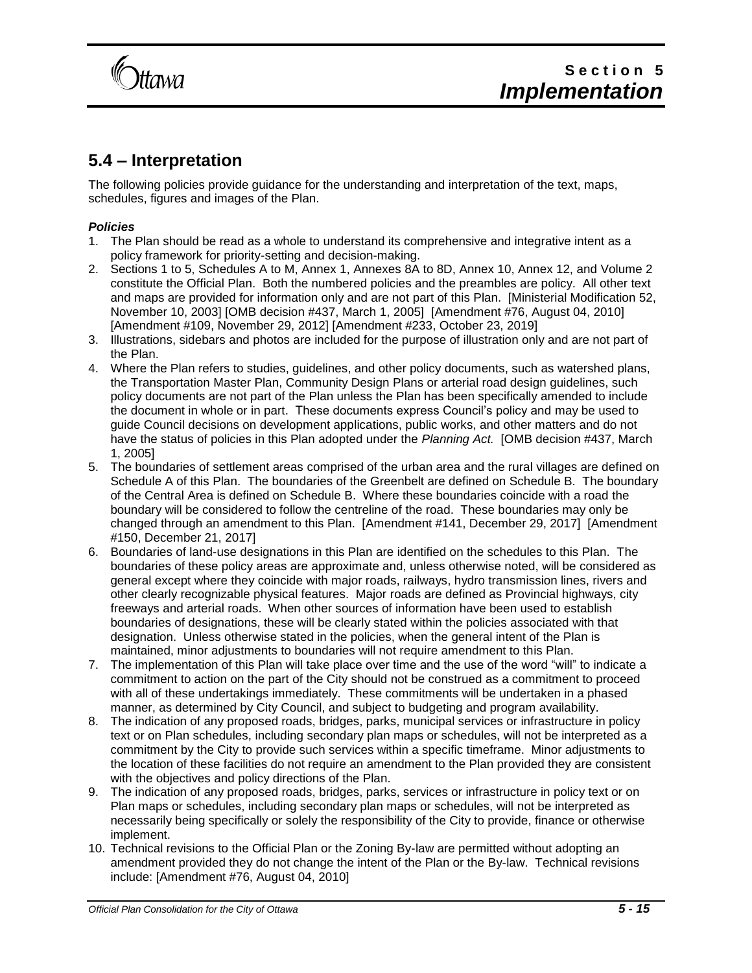**Ittawa** 

## **5.4 – Interpretation**

The following policies provide guidance for the understanding and interpretation of the text, maps, schedules, figures and images of the Plan.

## *Policies*

- 1. The Plan should be read as a whole to understand its comprehensive and integrative intent as a policy framework for priority-setting and decision-making.
- 2. Sections 1 to 5, Schedules A to M, Annex 1, Annexes 8A to 8D, Annex 10, Annex 12, and Volume 2 constitute the Official Plan. Both the numbered policies and the preambles are policy. All other text and maps are provided for information only and are not part of this Plan. [Ministerial Modification 52, November 10, 2003] [OMB decision #437, March 1, 2005] [Amendment #76, August 04, 2010] [Amendment #109, November 29, 2012] [Amendment #233, October 23, 2019]
- 3. Illustrations, sidebars and photos are included for the purpose of illustration only and are not part of the Plan.
- 4. Where the Plan refers to studies, guidelines, and other policy documents, such as watershed plans, the Transportation Master Plan, Community Design Plans or arterial road design guidelines, such policy documents are not part of the Plan unless the Plan has been specifically amended to include the document in whole or in part. These documents express Council's policy and may be used to guide Council decisions on development applications, public works, and other matters and do not have the status of policies in this Plan adopted under the *Planning Act.* [OMB decision #437, March 1, 2005]
- 5. The boundaries of settlement areas comprised of the urban area and the rural villages are defined on Schedule A of this Plan. The boundaries of the Greenbelt are defined on Schedule B. The boundary of the Central Area is defined on Schedule B. Where these boundaries coincide with a road the boundary will be considered to follow the centreline of the road. These boundaries may only be changed through an amendment to this Plan. [Amendment #141, December 29, 2017] [Amendment #150, December 21, 2017]
- 6. Boundaries of land-use designations in this Plan are identified on the schedules to this Plan. The boundaries of these policy areas are approximate and, unless otherwise noted, will be considered as general except where they coincide with major roads, railways, hydro transmission lines, rivers and other clearly recognizable physical features. Major roads are defined as Provincial highways, city freeways and arterial roads. When other sources of information have been used to establish boundaries of designations, these will be clearly stated within the policies associated with that designation. Unless otherwise stated in the policies, when the general intent of the Plan is maintained, minor adjustments to boundaries will not require amendment to this Plan.
- 7. The implementation of this Plan will take place over time and the use of the word "will" to indicate a commitment to action on the part of the City should not be construed as a commitment to proceed with all of these undertakings immediately. These commitments will be undertaken in a phased manner, as determined by City Council, and subject to budgeting and program availability.
- 8. The indication of any proposed roads, bridges, parks, municipal services or infrastructure in policy text or on Plan schedules, including secondary plan maps or schedules, will not be interpreted as a commitment by the City to provide such services within a specific timeframe. Minor adjustments to the location of these facilities do not require an amendment to the Plan provided they are consistent with the objectives and policy directions of the Plan.
- 9. The indication of any proposed roads, bridges, parks, services or infrastructure in policy text or on Plan maps or schedules, including secondary plan maps or schedules, will not be interpreted as necessarily being specifically or solely the responsibility of the City to provide, finance or otherwise implement.
- 10. Technical revisions to the Official Plan or the Zoning By-law are permitted without adopting an amendment provided they do not change the intent of the Plan or the By-law. Technical revisions include: [Amendment #76, August 04, 2010]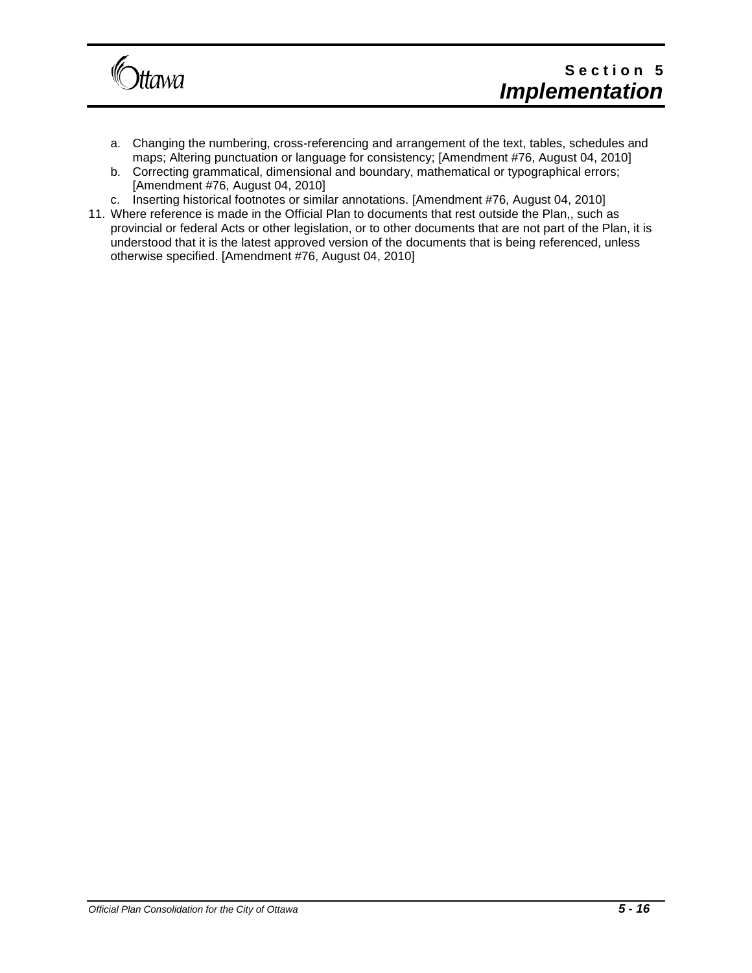

- a. Changing the numbering, cross-referencing and arrangement of the text, tables, schedules and maps; Altering punctuation or language for consistency; [Amendment #76, August 04, 2010]
- b. Correcting grammatical, dimensional and boundary, mathematical or typographical errors; [Amendment #76, August 04, 2010]
- c. Inserting historical footnotes or similar annotations. [Amendment #76, August 04, 2010]
- 11. Where reference is made in the Official Plan to documents that rest outside the Plan,, such as provincial or federal Acts or other legislation, or to other documents that are not part of the Plan, it is understood that it is the latest approved version of the documents that is being referenced, unless otherwise specified. [Amendment #76, August 04, 2010]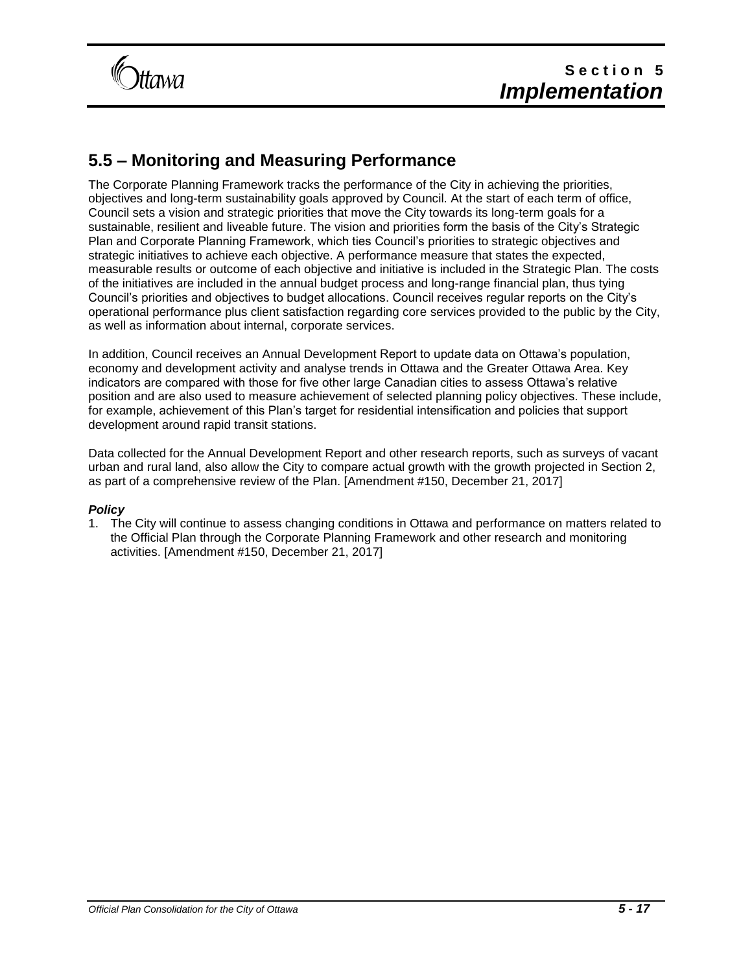

## **5.5 – Monitoring and Measuring Performance**

The Corporate Planning Framework tracks the performance of the City in achieving the priorities, objectives and long-term sustainability goals approved by Council. At the start of each term of office, Council sets a vision and strategic priorities that move the City towards its long-term goals for a sustainable, resilient and liveable future. The vision and priorities form the basis of the City's Strategic Plan and Corporate Planning Framework, which ties Council's priorities to strategic objectives and strategic initiatives to achieve each objective. A performance measure that states the expected, measurable results or outcome of each objective and initiative is included in the Strategic Plan. The costs of the initiatives are included in the annual budget process and long-range financial plan, thus tying Council's priorities and objectives to budget allocations. Council receives regular reports on the City's operational performance plus client satisfaction regarding core services provided to the public by the City, as well as information about internal, corporate services.

In addition, Council receives an Annual Development Report to update data on Ottawa's population, economy and development activity and analyse trends in Ottawa and the Greater Ottawa Area. Key indicators are compared with those for five other large Canadian cities to assess Ottawa's relative position and are also used to measure achievement of selected planning policy objectives. These include, for example, achievement of this Plan's target for residential intensification and policies that support development around rapid transit stations.

Data collected for the Annual Development Report and other research reports, such as surveys of vacant urban and rural land, also allow the City to compare actual growth with the growth projected in Section 2, as part of a comprehensive review of the Plan. [Amendment #150, December 21, 2017]

#### *Policy*

1. The City will continue to assess changing conditions in Ottawa and performance on matters related to the Official Plan through the Corporate Planning Framework and other research and monitoring activities. [Amendment #150, December 21, 2017]